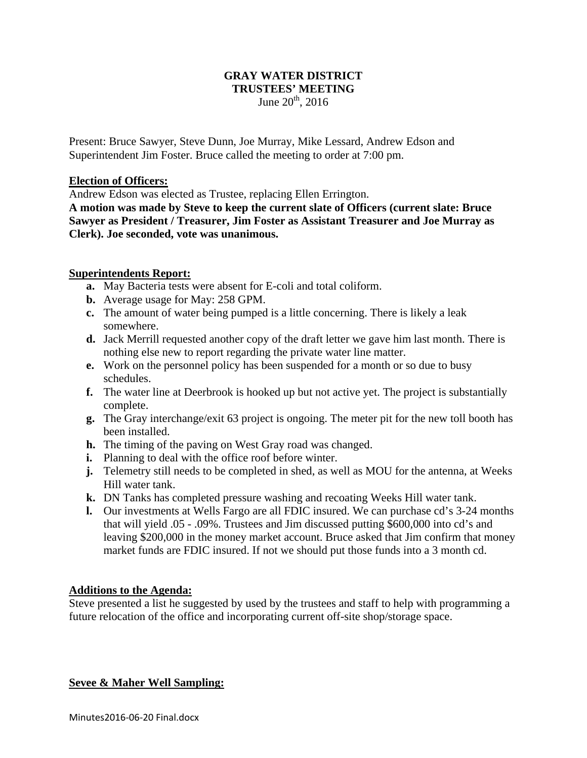### **GRAY WATER DISTRICT TRUSTEES' MEETING**  June  $20^{th}$ ,  $2016$

Present: Bruce Sawyer, Steve Dunn, Joe Murray, Mike Lessard, Andrew Edson and Superintendent Jim Foster. Bruce called the meeting to order at 7:00 pm.

### **Election of Officers:**

Andrew Edson was elected as Trustee, replacing Ellen Errington.

**A motion was made by Steve to keep the current slate of Officers (current slate: Bruce Sawyer as President / Treasurer, Jim Foster as Assistant Treasurer and Joe Murray as Clerk). Joe seconded, vote was unanimous.** 

### **Superintendents Report:**

- **a.** May Bacteria tests were absent for E-coli and total coliform.
- **b.** Average usage for May: 258 GPM.
- **c.** The amount of water being pumped is a little concerning. There is likely a leak somewhere.
- **d.** Jack Merrill requested another copy of the draft letter we gave him last month. There is nothing else new to report regarding the private water line matter.
- **e.** Work on the personnel policy has been suspended for a month or so due to busy schedules.
- **f.** The water line at Deerbrook is hooked up but not active yet. The project is substantially complete.
- **g.** The Gray interchange/exit 63 project is ongoing. The meter pit for the new toll booth has been installed.
- **h.** The timing of the paving on West Gray road was changed.
- **i.** Planning to deal with the office roof before winter.
- **j.** Telemetry still needs to be completed in shed, as well as MOU for the antenna, at Weeks Hill water tank.
- **k.** DN Tanks has completed pressure washing and recoating Weeks Hill water tank.
- **l.** Our investments at Wells Fargo are all FDIC insured. We can purchase cd's 3-24 months that will yield .05 - .09%. Trustees and Jim discussed putting \$600,000 into cd's and leaving \$200,000 in the money market account. Bruce asked that Jim confirm that money market funds are FDIC insured. If not we should put those funds into a 3 month cd.

## **Additions to the Agenda:**

Steve presented a list he suggested by used by the trustees and staff to help with programming a future relocation of the office and incorporating current off-site shop/storage space.

### **Sevee & Maher Well Sampling:**

Minutes2016‐06‐20 Final.docx